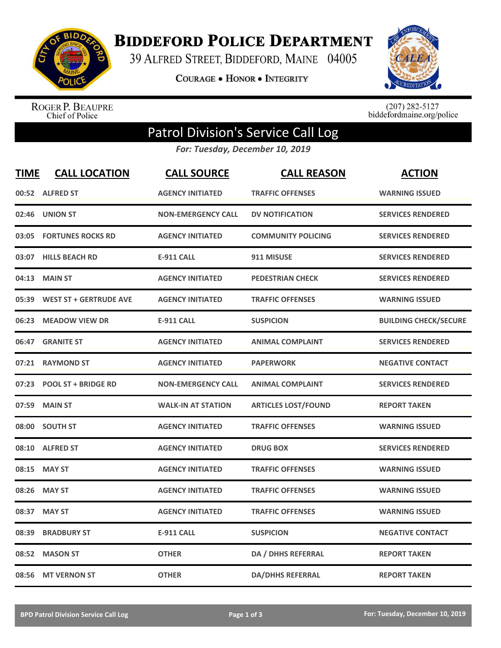

**BIDDEFORD POLICE DEPARTMENT** 

39 ALFRED STREET, BIDDEFORD, MAINE 04005

**COURAGE . HONOR . INTEGRITY** 



ROGER P. BEAUPRE<br>Chief of Police

 $(207)$  282-5127<br>biddefordmaine.org/police

## Patrol Division's Service Call Log

*For: Tuesday, December 10, 2019*

| <b>TIME</b> | <b>CALL LOCATION</b>          | <b>CALL SOURCE</b>        | <b>CALL REASON</b>         | <b>ACTION</b>                |
|-------------|-------------------------------|---------------------------|----------------------------|------------------------------|
|             | 00:52 ALFRED ST               | <b>AGENCY INITIATED</b>   | <b>TRAFFIC OFFENSES</b>    | <b>WARNING ISSUED</b>        |
| 02:46       | <b>UNION ST</b>               | <b>NON-EMERGENCY CALL</b> | <b>DV NOTIFICATION</b>     | <b>SERVICES RENDERED</b>     |
| 03:05       | <b>FORTUNES ROCKS RD</b>      | <b>AGENCY INITIATED</b>   | <b>COMMUNITY POLICING</b>  | <b>SERVICES RENDERED</b>     |
| 03:07       | <b>HILLS BEACH RD</b>         | <b>E-911 CALL</b>         | 911 MISUSE                 | <b>SERVICES RENDERED</b>     |
| 04:13       | <b>MAIN ST</b>                | <b>AGENCY INITIATED</b>   | <b>PEDESTRIAN CHECK</b>    | <b>SERVICES RENDERED</b>     |
| 05:39       | <b>WEST ST + GERTRUDE AVE</b> | <b>AGENCY INITIATED</b>   | <b>TRAFFIC OFFENSES</b>    | <b>WARNING ISSUED</b>        |
| 06:23       | <b>MEADOW VIEW DR</b>         | <b>E-911 CALL</b>         | <b>SUSPICION</b>           | <b>BUILDING CHECK/SECURE</b> |
| 06:47       | <b>GRANITE ST</b>             | <b>AGENCY INITIATED</b>   | <b>ANIMAL COMPLAINT</b>    | <b>SERVICES RENDERED</b>     |
| 07:21       | <b>RAYMOND ST</b>             | <b>AGENCY INITIATED</b>   | <b>PAPERWORK</b>           | <b>NEGATIVE CONTACT</b>      |
| 07:23       | <b>POOL ST + BRIDGE RD</b>    | <b>NON-EMERGENCY CALL</b> | <b>ANIMAL COMPLAINT</b>    | <b>SERVICES RENDERED</b>     |
| 07:59       | <b>MAIN ST</b>                | <b>WALK-IN AT STATION</b> | <b>ARTICLES LOST/FOUND</b> | <b>REPORT TAKEN</b>          |
|             | 08:00 SOUTH ST                | <b>AGENCY INITIATED</b>   | <b>TRAFFIC OFFENSES</b>    | <b>WARNING ISSUED</b>        |
| 08:10       | <b>ALFRED ST</b>              | <b>AGENCY INITIATED</b>   | <b>DRUG BOX</b>            | <b>SERVICES RENDERED</b>     |
| 08:15       | <b>MAY ST</b>                 | <b>AGENCY INITIATED</b>   | <b>TRAFFIC OFFENSES</b>    | <b>WARNING ISSUED</b>        |
| 08:26       | <b>MAY ST</b>                 | <b>AGENCY INITIATED</b>   | <b>TRAFFIC OFFENSES</b>    | <b>WARNING ISSUED</b>        |
| 08:37       | <b>MAY ST</b>                 | <b>AGENCY INITIATED</b>   | <b>TRAFFIC OFFENSES</b>    | <b>WARNING ISSUED</b>        |
| 08:39       | <b>BRADBURY ST</b>            | <b>E-911 CALL</b>         | <b>SUSPICION</b>           | <b>NEGATIVE CONTACT</b>      |
| 08:52       | <b>MASON ST</b>               | <b>OTHER</b>              | DA / DHHS REFERRAL         | <b>REPORT TAKEN</b>          |
|             | 08:56 MT VERNON ST            | <b>OTHER</b>              | <b>DA/DHHS REFERRAL</b>    | <b>REPORT TAKEN</b>          |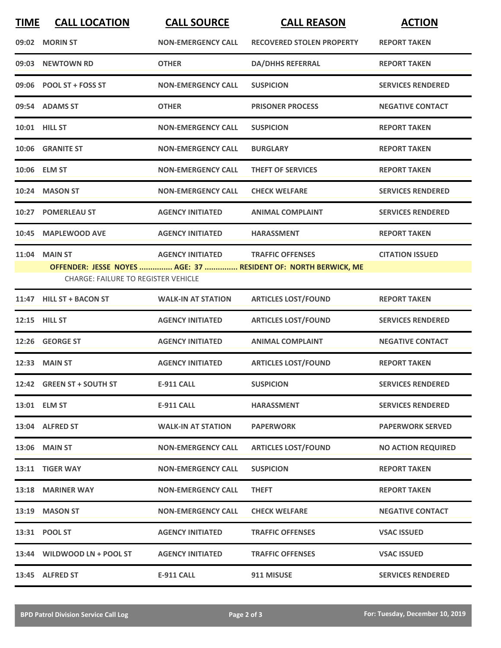| <b>TIME</b> | <b>CALL LOCATION</b>                       | <b>CALL SOURCE</b>        | <b>CALL REASON</b>                                                                        | <b>ACTION</b>             |
|-------------|--------------------------------------------|---------------------------|-------------------------------------------------------------------------------------------|---------------------------|
|             | 09:02 MORIN ST                             | <b>NON-EMERGENCY CALL</b> | <b>RECOVERED STOLEN PROPERTY</b>                                                          | <b>REPORT TAKEN</b>       |
| 09:03       | <b>NEWTOWN RD</b>                          | <b>OTHER</b>              | <b>DA/DHHS REFERRAL</b>                                                                   | <b>REPORT TAKEN</b>       |
|             | 09:06 POOL ST + FOSS ST                    | <b>NON-EMERGENCY CALL</b> | <b>SUSPICION</b>                                                                          | <b>SERVICES RENDERED</b>  |
|             | 09:54 ADAMS ST                             | <b>OTHER</b>              | <b>PRISONER PROCESS</b>                                                                   | <b>NEGATIVE CONTACT</b>   |
|             | 10:01 HILL ST                              | <b>NON-EMERGENCY CALL</b> | <b>SUSPICION</b>                                                                          | <b>REPORT TAKEN</b>       |
|             | 10:06 GRANITE ST                           | <b>NON-EMERGENCY CALL</b> | <b>BURGLARY</b>                                                                           | <b>REPORT TAKEN</b>       |
|             | 10:06 ELM ST                               | <b>NON-EMERGENCY CALL</b> | <b>THEFT OF SERVICES</b>                                                                  | <b>REPORT TAKEN</b>       |
| 10:24       | <b>MASON ST</b>                            | <b>NON-EMERGENCY CALL</b> | <b>CHECK WELFARE</b>                                                                      | <b>SERVICES RENDERED</b>  |
| 10:27       | <b>POMERLEAU ST</b>                        | <b>AGENCY INITIATED</b>   | <b>ANIMAL COMPLAINT</b>                                                                   | <b>SERVICES RENDERED</b>  |
| 10:45       | <b>MAPLEWOOD AVE</b>                       | <b>AGENCY INITIATED</b>   | <b>HARASSMENT</b>                                                                         | <b>REPORT TAKEN</b>       |
|             | <b>11:04 MAIN ST</b>                       | <b>AGENCY INITIATED</b>   | <b>TRAFFIC OFFENSES</b><br>OFFENDER: JESSE NOYES  AGE: 37  RESIDENT OF: NORTH BERWICK, ME | <b>CITATION ISSUED</b>    |
|             | <b>CHARGE: FAILURE TO REGISTER VEHICLE</b> |                           |                                                                                           |                           |
|             | 11:47 HILL ST + BACON ST                   | <b>WALK-IN AT STATION</b> | <b>ARTICLES LOST/FOUND</b>                                                                | <b>REPORT TAKEN</b>       |
|             | 12:15 HILL ST                              | <b>AGENCY INITIATED</b>   | <b>ARTICLES LOST/FOUND</b>                                                                | <b>SERVICES RENDERED</b>  |
|             | 12:26 GEORGE ST                            | <b>AGENCY INITIATED</b>   | <b>ANIMAL COMPLAINT</b>                                                                   | <b>NEGATIVE CONTACT</b>   |
|             | 12:33 MAIN ST                              | <b>AGENCY INITIATED</b>   | <b>ARTICLES LOST/FOUND</b>                                                                | <b>REPORT TAKEN</b>       |
|             | 12:42 GREEN ST + SOUTH ST                  | <b>E-911 CALL</b>         | <b>SUSPICION</b>                                                                          | <b>SERVICES RENDERED</b>  |
|             | 13:01 ELM ST                               | <b>E-911 CALL</b>         | <b>HARASSMENT</b>                                                                         | <b>SERVICES RENDERED</b>  |
|             | 13:04 ALFRED ST                            | <b>WALK-IN AT STATION</b> | <b>PAPERWORK</b>                                                                          | <b>PAPERWORK SERVED</b>   |
|             | <b>13:06 MAIN ST</b>                       | <b>NON-EMERGENCY CALL</b> | <b>ARTICLES LOST/FOUND</b>                                                                | <b>NO ACTION REQUIRED</b> |
|             | 13:11 TIGER WAY                            | <b>NON-EMERGENCY CALL</b> | <b>SUSPICION</b>                                                                          | <b>REPORT TAKEN</b>       |
|             | 13:18 MARINER WAY                          | <b>NON-EMERGENCY CALL</b> | <b>THEFT</b>                                                                              | <b>REPORT TAKEN</b>       |
|             | 13:19 MASON ST                             | <b>NON-EMERGENCY CALL</b> | <b>CHECK WELFARE</b>                                                                      | <b>NEGATIVE CONTACT</b>   |
|             | 13:31 POOL ST                              | <b>AGENCY INITIATED</b>   | <b>TRAFFIC OFFENSES</b>                                                                   | <b>VSAC ISSUED</b>        |
|             | 13:44 WILDWOOD LN + POOL ST                | <b>AGENCY INITIATED</b>   | <b>TRAFFIC OFFENSES</b>                                                                   | <b>VSAC ISSUED</b>        |
|             | 13:45 ALFRED ST                            | <b>E-911 CALL</b>         | 911 MISUSE                                                                                | <b>SERVICES RENDERED</b>  |